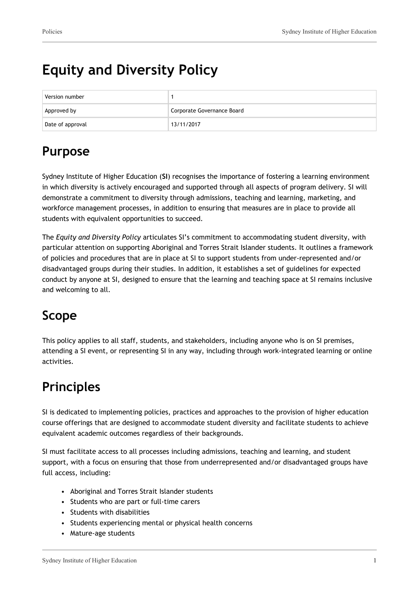# **Equity and Diversity Policy**

| Version number   |                            |
|------------------|----------------------------|
| Approved by      | Corporate Governance Board |
| Date of approval | 13/11/2017                 |

## **Purpose**

Sydney Institute of Higher Education (**SI**) recognises the importance of fostering a learning environment in which diversity is actively encouraged and supported through all aspects of program delivery. SI will demonstrate a commitment to diversity through admissions, teaching and learning, marketing, and workforce management processes, in addition to ensuring that measures are in place to provide all students with equivalent opportunities to succeed.

The *Equity and Diversity Policy* articulates SI's commitment to accommodating student diversity, with particular attention on supporting Aboriginal and Torres Strait Islander students. It outlines a framework of policies and procedures that are in place at SI to support students from under-represented and/or disadvantaged groups during their studies. In addition, it establishes a set of guidelines for expected conduct by anyone at SI, designed to ensure that the learning and teaching space at SI remains inclusive and welcoming to all.

## **Scope**

This policy applies to all staff, students, and stakeholders, including anyone who is on SI premises, attending a SI event, or representing SI in any way, including through work-integrated learning or online activities.

## **Principles**

SI is dedicated to implementing policies, practices and approaches to the provision of higher education course offerings that are designed to accommodate student diversity and facilitate students to achieve equivalent academic outcomes regardless of their backgrounds.

SI must facilitate access to all processes including admissions, teaching and learning, and student support, with a focus on ensuring that those from underrepresented and/or disadvantaged groups have full access, including:

- Aboriginal and Torres Strait Islander students
- Students who are part or full-time carers
- Students with disabilities
- Students experiencing mental or physical health concerns
- Mature-age students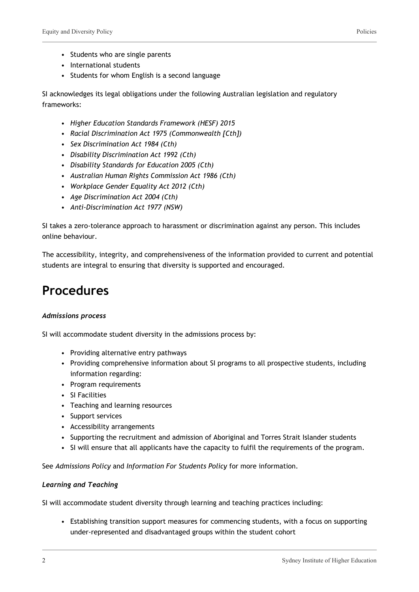- Students who are single parents
- International students
- Students for whom English is a second language

SI acknowledges its legal obligations under the following Australian legislation and regulatory frameworks:

- *Higher Education Standards Framework (HESF) 2015*
- *Racial Discrimination Act 1975 (Commonwealth [Cth])*
- *Sex Discrimination Act 1984 (Cth)*
- *Disability Discrimination Act 1992 (Cth)*
- *Disability Standards for Education 2005 (Cth)*
- *Australian Human Rights Commission Act 1986 (Cth)*
- *Workplace Gender Equality Act 2012 (Cth)*
- *Age Discrimination Act 2004 (Cth)*
- *Anti-Discrimination Act 1977 (NSW)*

SI takes a zero-tolerance approach to harassment or discrimination against any person. This includes online behaviour.

The accessibility, integrity, and comprehensiveness of the information provided to current and potential students are integral to ensuring that diversity is supported and encouraged.

### **Procedures**

#### *Admissions process*

SI will accommodate student diversity in the admissions process by:

- Providing alternative entry pathways
- Providing comprehensive information about SI programs to all prospective students, including information regarding:
- Program requirements
- SI Facilities
- Teaching and learning resources
- Support services
- Accessibility arrangements
- Supporting the recruitment and admission of Aboriginal and Torres Strait Islander students
- SI will ensure that all applicants have the capacity to fulfil the requirements of the program.

See *Admissions Policy* and *Information For Students Policy* for more information.

#### *Learning and Teaching*

SI will accommodate student diversity through learning and teaching practices including:

• Establishing transition support measures for commencing students, with a focus on supporting under-represented and disadvantaged groups within the student cohort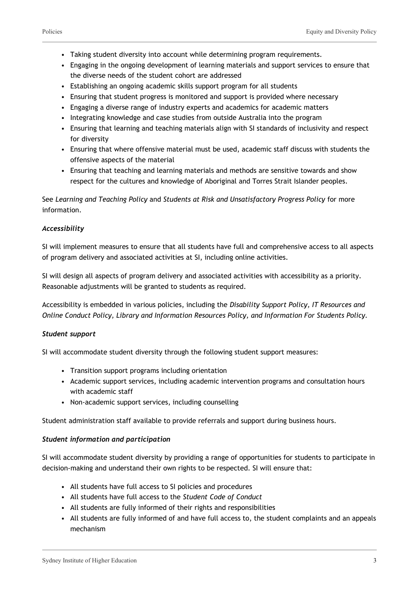- Taking student diversity into account while determining program requirements.
- Engaging in the ongoing development of learning materials and support services to ensure that the diverse needs of the student cohort are addressed
- Establishing an ongoing academic skills support program for all students
- Ensuring that student progress is monitored and support is provided where necessary
- Engaging a diverse range of industry experts and academics for academic matters
- Integrating knowledge and case studies from outside Australia into the program
- Ensuring that learning and teaching materials align with SI standards of inclusivity and respect for diversity
- Ensuring that where offensive material must be used, academic staff discuss with students the offensive aspects of the material
- Ensuring that teaching and learning materials and methods are sensitive towards and show respect for the cultures and knowledge of Aboriginal and Torres Strait Islander peoples.

See *Learning and Teaching Policy* and *Students at Risk and Unsatisfactory Progress Policy* for more information.

#### *Accessibility*

SI will implement measures to ensure that all students have full and comprehensive access to all aspects of program delivery and associated activities at SI, including online activities.

SI will design all aspects of program delivery and associated activities with accessibility as a priority. Reasonable adjustments will be granted to students as required.

Accessibility is embedded in various policies, including the *Disability Support Policy, IT Resources and Online Conduct Policy, Library and Information Resources Policy, and Information For Students Policy.*

#### *Student support*

SI will accommodate student diversity through the following student support measures:

- Transition support programs including orientation
- Academic support services, including academic intervention programs and consultation hours with academic staff
- Non-academic support services, including counselling

Student administration staff available to provide referrals and support during business hours.

#### *Student information and participation*

SI will accommodate student diversity by providing a range of opportunities for students to participate in decision-making and understand their own rights to be respected. SI will ensure that:

- All students have full access to SI policies and procedures
- All students have full access to the *Student Code of Conduct*
- All students are fully informed of their rights and responsibilities
- All students are fully informed of and have full access to, the student complaints and an appeals mechanism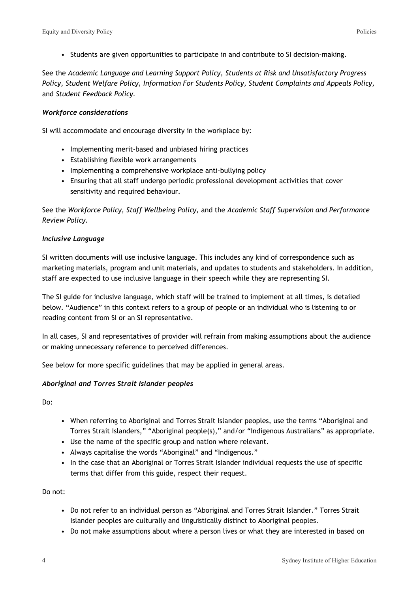• Students are given opportunities to participate in and contribute to SI decision-making.

See the *Academic Language and Learning Support Policy, Students at Risk and Unsatisfactory Progress Policy, Student Welfare Policy, Information For Students Policy, Student Complaints and Appeals Policy,* and *Student Feedback Policy.*

#### *Workforce considerations*

SI will accommodate and encourage diversity in the workplace by:

- Implementing merit-based and unbiased hiring practices
- Establishing flexible work arrangements
- Implementing a comprehensive workplace anti-bullying policy
- Ensuring that all staff undergo periodic professional development activities that cover sensitivity and required behaviour.

See the *Workforce Policy, Staff Wellbeing Policy,* and the *Academic Staff Supervision and Performance Review Policy.*

#### *Inclusive Language*

SI written documents will use inclusive language. This includes any kind of correspondence such as marketing materials, program and unit materials, and updates to students and stakeholders. In addition, staff are expected to use inclusive language in their speech while they are representing SI.

The SI guide for inclusive language, which staff will be trained to implement at all times, is detailed below. "Audience" in this context refers to a group of people or an individual who is listening to or reading content from SI or an SI representative.

In all cases, SI and representatives of provider will refrain from making assumptions about the audience or making unnecessary reference to perceived differences.

See below for more specific guidelines that may be applied in general areas.

#### *Aboriginal and Torres Strait Islander peoples*

Do:

- When referring to Aboriginal and Torres Strait Islander peoples, use the terms "Aboriginal and Torres Strait Islanders," "Aboriginal people(s)," and/or "Indigenous Australians" as appropriate.
- Use the name of the specific group and nation where relevant.
- Always capitalise the words "Aboriginal" and "Indigenous."
- In the case that an Aboriginal or Torres Strait Islander individual requests the use of specific terms that differ from this guide, respect their request.

Do not:

- Do not refer to an individual person as "Aboriginal and Torres Strait Islander." Torres Strait Islander peoples are culturally and linguistically distinct to Aboriginal peoples.
- Do not make assumptions about where a person lives or what they are interested in based on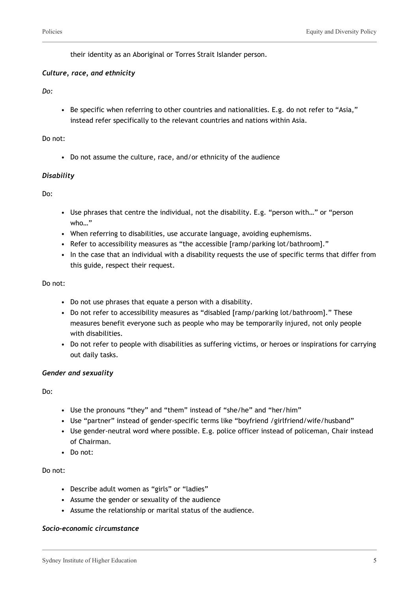their identity as an Aboriginal or Torres Strait Islander person.

#### *Culture, race, and ethnicity*

#### *Do:*

• Be specific when referring to other countries and nationalities. E.g. do not refer to "Asia," instead refer specifically to the relevant countries and nations within Asia.

#### Do not:

• Do not assume the culture, race, and/or ethnicity of the audience

#### *Disability*

Do:

- Use phrases that centre the individual, not the disability. E.g. "person with…" or "person who…"
- When referring to disabilities, use accurate language, avoiding euphemisms.
- Refer to accessibility measures as "the accessible [ramp/parking lot/bathroom]."
- In the case that an individual with a disability requests the use of specific terms that differ from this guide, respect their request.

#### Do not:

- Do not use phrases that equate a person with a disability.
- Do not refer to accessibility measures as "disabled [ramp/parking lot/bathroom]." These measures benefit everyone such as people who may be temporarily injured, not only people with disabilities.
- Do not refer to people with disabilities as suffering victims, or heroes or inspirations for carrying out daily tasks.

#### *Gender and sexuality*

Do:

- Use the pronouns "they" and "them" instead of "she/he" and "her/him"
- Use "partner" instead of gender-specific terms like "boyfriend /girlfriend/wife/husband"
- Use gender-neutral word where possible. E.g. police officer instead of policeman, Chair instead of Chairman.
- Do not:

#### Do not:

- Describe adult women as "girls" or "ladies"
- Assume the gender or sexuality of the audience
- Assume the relationship or marital status of the audience.

#### *Socio-economic circumstance*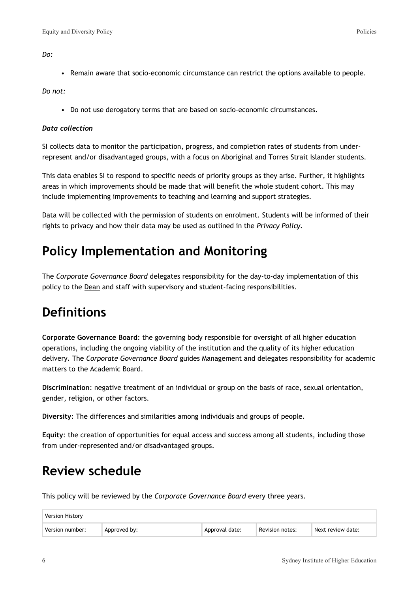*Do:*

• Remain aware that socio-economic circumstance can restrict the options available to people.

*Do not:*

• Do not use derogatory terms that are based on socio-economic circumstances.

#### *Data collection*

SI collects data to monitor the participation, progress, and completion rates of students from underrepresent and/or disadvantaged groups, with a focus on Aboriginal and Torres Strait Islander students.

This data enables SI to respond to specific needs of priority groups as they arise. Further, it highlights areas in which improvements should be made that will benefit the whole student cohort. This may include implementing improvements to teaching and learning and support strategies.

Data will be collected with the permission of students on enrolment. Students will be informed of their rights to privacy and how their data may be used as outlined in the *Privacy Policy.*

## **Policy Implementation and Monitoring**

The *Corporate Governance Board* delegates responsibility for the day-to-day implementation of this policy to the Dean and staff with supervisory and student-facing responsibilities.

### **Definitions**

**Corporate Governance Board**: the governing body responsible for oversight of all higher education operations, including the ongoing viability of the institution and the quality of its higher education delivery. The *Corporate Governance Board* guides Management and delegates responsibility for academic matters to the Academic Board.

**Discrimination**: negative treatment of an individual or group on the basis of race, sexual orientation, gender, religion, or other factors.

**Diversity**: The differences and similarities among individuals and groups of people.

**Equity**: the creation of opportunities for equal access and success among all students, including those from under-represented and/or disadvantaged groups.

### **Review schedule**

This policy will be reviewed by the *Corporate Governance Board* every three years.

| <b>Version History</b> |              |                |                 |                   |
|------------------------|--------------|----------------|-----------------|-------------------|
| Version number:        | Approved by: | Approval date: | Revision notes: | Next review date: |